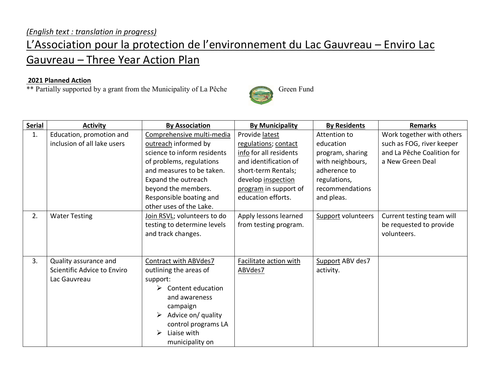## L'Association pour la protection de l'environnement du Lac Gauvreau – Enviro Lac Gauvreau – Three Year Action Plan

## **2021 Planned Action**

\*\* Partially supported by a grant from the Municipality of La Pêche Green Fund



**Serial Activity By Association By Municipality By Residents Remarks** 1. Education, promotion and inclusion of all lake users Comprehensive multi-media outreach informed by science to inform residents of problems, regulations and measures to be taken. Expand the outreach beyond the members. Responsible boating and other uses of the Lake. Provide latest regulations; contact info for all residents and identification of short-term Rentals; develop inspection program in support of education efforts. Attention to education program, sharing with neighbours, adherence to regulations, recommendations and pleas. Work together with others such as FOG, river keeper and La Pêche Coalition for a New Green Deal 2. Water Testing Join RSVL; volunteers to do testing to determine levels and track changes. Apply lessons learned from testing program. Support volunteers  $\vert$  Current testing team will be requested to provide volunteers. 3. Quality assurance and Scientific Advice to Enviro Lac Gauvreau Contract with ABVdes7 outlining the areas of support:  $\triangleright$  Content education and awareness campaign  $\triangleright$  Advice on/ quality control programs LA  $\triangleright$  Liaise with municipality on Facilitate action with ABVdes7 Support ABV des7 activity.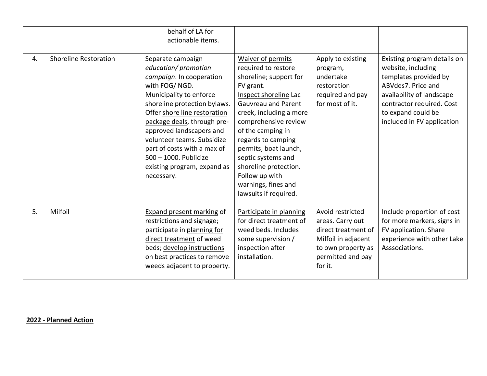|    |                              | behalf of LA for<br>actionable items.                                                                                                                                                                                                                                                                                                                                           |                                                                                                                                                                                                                                                                                                                                                                                |                                                                                                                                          |                                                                                                                                                                                                                |
|----|------------------------------|---------------------------------------------------------------------------------------------------------------------------------------------------------------------------------------------------------------------------------------------------------------------------------------------------------------------------------------------------------------------------------|--------------------------------------------------------------------------------------------------------------------------------------------------------------------------------------------------------------------------------------------------------------------------------------------------------------------------------------------------------------------------------|------------------------------------------------------------------------------------------------------------------------------------------|----------------------------------------------------------------------------------------------------------------------------------------------------------------------------------------------------------------|
| 4. | <b>Shoreline Restoration</b> | Separate campaign<br>education/ promotion<br>campaign. In cooperation<br>with FOG/NGD.<br>Municipality to enforce<br>shoreline protection bylaws.<br>Offer shore line restoration<br>package deals, through pre-<br>approved landscapers and<br>volunteer teams. Subsidize<br>part of costs with a max of<br>500 - 1000. Publicize<br>existing program, expand as<br>necessary. | Waiver of permits<br>required to restore<br>shoreline; support for<br>FV grant.<br>Inspect shoreline Lac<br><b>Gauvreau and Parent</b><br>creek, including a more<br>comprehensive review<br>of the camping in<br>regards to camping<br>permits, boat launch,<br>septic systems and<br>shoreline protection.<br>Follow up with<br>warnings, fines and<br>lawsuits if required. | Apply to existing<br>program,<br>undertake<br>restoration<br>required and pay<br>for most of it.                                         | Existing program details on<br>website, including<br>templates provided by<br>ABVdes7. Price and<br>availability of landscape<br>contractor required. Cost<br>to expand could be<br>included in FV application |
| 5. | Milfoil                      | <b>Expand present marking of</b><br>restrictions and signage;<br>participate in planning for<br>direct treatment of weed<br>beds; develop instructions<br>on best practices to remove<br>weeds adjacent to property.                                                                                                                                                            | Participate in planning<br>for direct treatment of<br>weed beds. Includes<br>some supervision /<br>inspection after<br>installation.                                                                                                                                                                                                                                           | Avoid restricted<br>areas. Carry out<br>direct treatment of<br>Milfoil in adjacent<br>to own property as<br>permitted and pay<br>for it. | Include proportion of cost<br>for more markers, signs in<br>FV application. Share<br>experience with other Lake<br>Asssociations.                                                                              |

**2022 - Planned Action**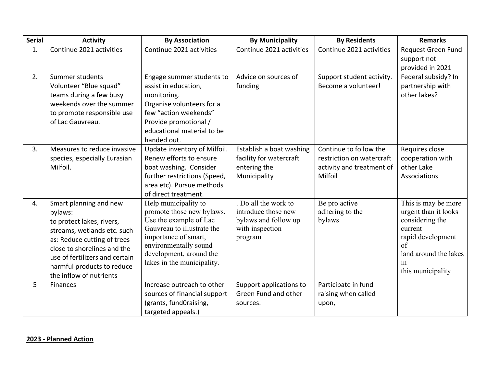| <b>Serial</b> | <b>Activity</b>                                               | <b>By Association</b>                                | <b>By Municipality</b>                  | <b>By Residents</b>                              | <b>Remarks</b>                   |
|---------------|---------------------------------------------------------------|------------------------------------------------------|-----------------------------------------|--------------------------------------------------|----------------------------------|
| 1.            | Continue 2021 activities                                      | Continue 2021 activities                             | Continue 2021 activities                | Continue 2021 activities                         | Request Green Fund               |
|               |                                                               |                                                      |                                         |                                                  | support not                      |
|               |                                                               |                                                      |                                         |                                                  | provided in 2021                 |
| 2.            | Summer students                                               | Engage summer students to                            | Advice on sources of<br>funding         | Support student activity.<br>Become a volunteer! | Federal subsidy? In              |
|               | Volunteer "Blue squad"<br>teams during a few busy             | assist in education,                                 |                                         |                                                  | partnership with<br>other lakes? |
|               | weekends over the summer                                      | monitoring.<br>Organise volunteers for a             |                                         |                                                  |                                  |
|               | to promote responsible use                                    | few "action weekends"                                |                                         |                                                  |                                  |
|               | of Lac Gauvreau.                                              | Provide promotional /                                |                                         |                                                  |                                  |
|               |                                                               | educational material to be                           |                                         |                                                  |                                  |
|               |                                                               | handed out.                                          |                                         |                                                  |                                  |
| 3.            | Measures to reduce invasive                                   | Update inventory of Milfoil.                         | Establish a boat washing                | Continue to follow the                           | Requires close                   |
|               | species, especially Eurasian                                  | Renew efforts to ensure                              | facility for watercraft                 | restriction on watercraft                        | cooperation with                 |
|               | Milfoil.                                                      | boat washing. Consider                               | entering the                            | activity and treatment of                        | other Lake                       |
|               |                                                               | further restrictions (Speed,                         | Municipality                            | Milfoil                                          | Associations                     |
|               |                                                               | area etc). Pursue methods                            |                                         |                                                  |                                  |
|               |                                                               | of direct treatment.                                 |                                         |                                                  |                                  |
| 4.            | Smart planning and new                                        | Help municipality to                                 | $\overline{Do}$ all the work to         | Be pro active                                    | This is may be more              |
|               | bylaws:                                                       | promote those new bylaws.                            | introduce those new                     | adhering to the                                  | urgent than it looks             |
|               | to protect lakes, rivers,                                     | Use the example of Lac<br>Gauvreau to illustrate the | bylaws and follow up<br>with inspection | bylaws                                           | considering the<br>current       |
|               | streams, wetlands etc. such                                   | importance of smart,                                 | program                                 |                                                  | rapid development                |
|               | as: Reduce cutting of trees                                   | environmentally sound                                |                                         |                                                  | of                               |
|               | close to shorelines and the<br>use of fertilizers and certain | development, around the                              |                                         |                                                  | land around the lakes            |
|               | harmful products to reduce                                    | lakes in the municipality.                           |                                         |                                                  | in                               |
|               | the inflow of nutrients                                       |                                                      |                                         |                                                  | this municipality                |
| 5             | <b>Finances</b>                                               | Increase outreach to other                           | Support applications to                 | Participate in fund                              |                                  |
|               |                                                               | sources of financial support                         | Green Fund and other                    | raising when called                              |                                  |
|               |                                                               | (grants, fundOraising,                               | sources.                                | upon,                                            |                                  |
|               |                                                               | targeted appeals.)                                   |                                         |                                                  |                                  |